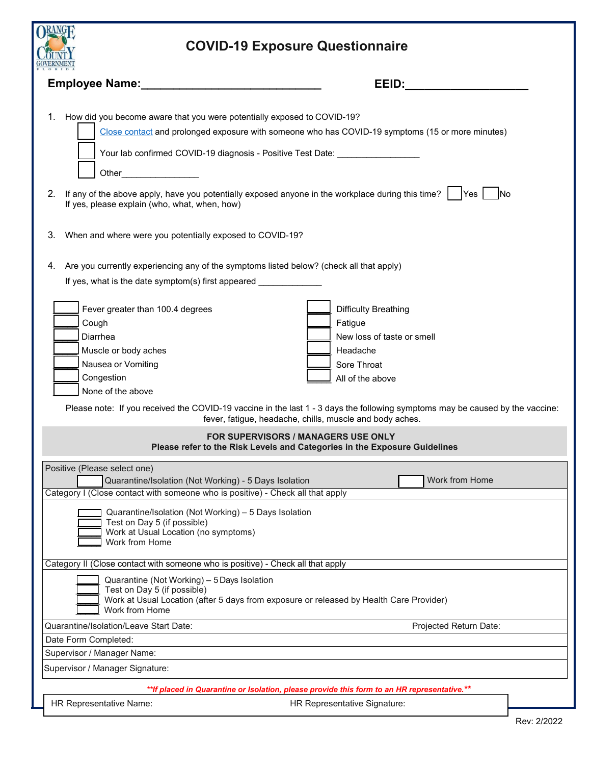| <b>KAWG</b>                                                                                                                                                                                                                                                                                                                                                                                                        |  |
|--------------------------------------------------------------------------------------------------------------------------------------------------------------------------------------------------------------------------------------------------------------------------------------------------------------------------------------------------------------------------------------------------------------------|--|
| <b>COVID-19 Exposure Questionnaire</b>                                                                                                                                                                                                                                                                                                                                                                             |  |
| <b>Employee Name:</b><br>EEID:                                                                                                                                                                                                                                                                                                                                                                                     |  |
| How did you become aware that you were potentially exposed to COVID-19?<br>1.<br>Close contact and prolonged exposure with someone who has COVID-19 symptoms (15 or more minutes)<br>Other___________________<br>If any of the above apply, have you potentially exposed anyone in the workplace during this time? $\vert \cdot \vert$ Yes $\vert$<br>2.<br>- INo<br>If yes, please explain (who, what, when, how) |  |
| When and where were you potentially exposed to COVID-19?<br>3.                                                                                                                                                                                                                                                                                                                                                     |  |
| Are you currently experiencing any of the symptoms listed below? (check all that apply)<br>4.<br>If yes, what is the date symptom(s) first appeared ______________                                                                                                                                                                                                                                                 |  |
| Fever greater than 100.4 degrees<br><b>Difficulty Breathing</b><br>Cough<br>Fatigue<br>Diarrhea<br>New loss of taste or smell<br>Muscle or body aches<br>Headache<br>Nausea or Vomiting<br>Sore Throat<br>Congestion<br>All of the above<br>None of the above<br>Please note: If you received the COVID-19 vaccine in the last 1 - 3 days the following symptoms may be caused by the vaccine:                     |  |
| fever, fatigue, headache, chills, muscle and body aches.<br><b>FOR SUPERVISORS / MANAGERS USE ONLY</b><br>Please refer to the Risk Levels and Categories in the Exposure Guidelines                                                                                                                                                                                                                                |  |
| Positive (Please select one)<br>Work from Home<br>Quarantine/Isolation (Not Working) - 5 Days Isolation<br>Category I (Close contact with someone who is positive) - Check all that apply<br>Quarantine/Isolation (Not Working) - 5 Days Isolation<br>Test on Day 5 (if possible)<br>Work at Usual Location (no symptoms)<br>Work from Home                                                                        |  |
| Category II (Close contact with someone who is positive) - Check all that apply<br>Quarantine (Not Working) - 5 Days Isolation<br>Test on Day 5 (if possible)<br>Work at Usual Location (after 5 days from exposure or released by Health Care Provider)<br>Work from Home                                                                                                                                         |  |
| Quarantine/Isolation/Leave Start Date:<br>Projected Return Date:                                                                                                                                                                                                                                                                                                                                                   |  |
| Date Form Completed:                                                                                                                                                                                                                                                                                                                                                                                               |  |
| Supervisor / Manager Name:                                                                                                                                                                                                                                                                                                                                                                                         |  |
| Supervisor / Manager Signature:                                                                                                                                                                                                                                                                                                                                                                                    |  |
| **If placed in Quarantine or Isolation, please provide this form to an HR representative.**                                                                                                                                                                                                                                                                                                                        |  |
| HR Representative Name:<br>HR Representative Signature:                                                                                                                                                                                                                                                                                                                                                            |  |